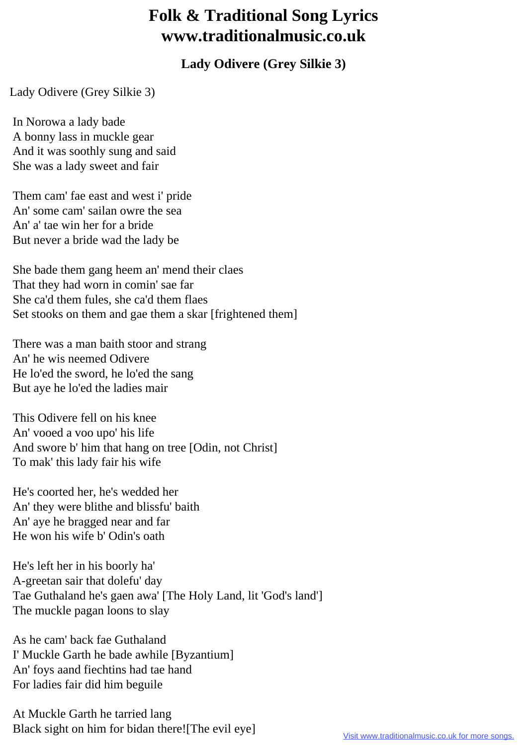## **Folk & Traditional Song Lyrics www.traditionalmusic.co.uk**

## **Lady Odivere (Grey Silkie 3)**

Lady Odivere (Grey Silkie 3)

 In Norowa a lady bade A bonny lass in muckle gear And it was soothly sung and said She was a lady sweet and fair

 Them cam' fae east and west i' pride An' some cam' sailan owre the sea An' a' tae win her for a bride But never a bride wad the lady be

 She bade them gang heem an' mend their claes That they had worn in comin' sae far She ca'd them fules, she ca'd them flaes Set stooks on them and gae them a skar [frightened them]

 There was a man baith stoor and strang An' he wis neemed Odivere He lo'ed the sword, he lo'ed the sang But aye he lo'ed the ladies mair

 This Odivere fell on his knee An' vooed a voo upo' his life And swore b' him that hang on tree [Odin, not Christ] To mak' this lady fair his wife

 He's coorted her, he's wedded her An' they were blithe and blissfu' baith An' aye he bragged near and far He won his wife b' Odin's oath

 He's left her in his boorly ha' A-greetan sair that dolefu' day Tae Guthaland he's gaen awa' [The Holy Land, lit 'God's land'] The muckle pagan loons to slay

 As he cam' back fae Guthaland I' Muckle Garth he bade awhile [Byzantium] An' foys aand fiechtins had tae hand For ladies fair did him beguile

 At Muckle Garth he tarried lang Black sight on him for bidan there![The evil eye]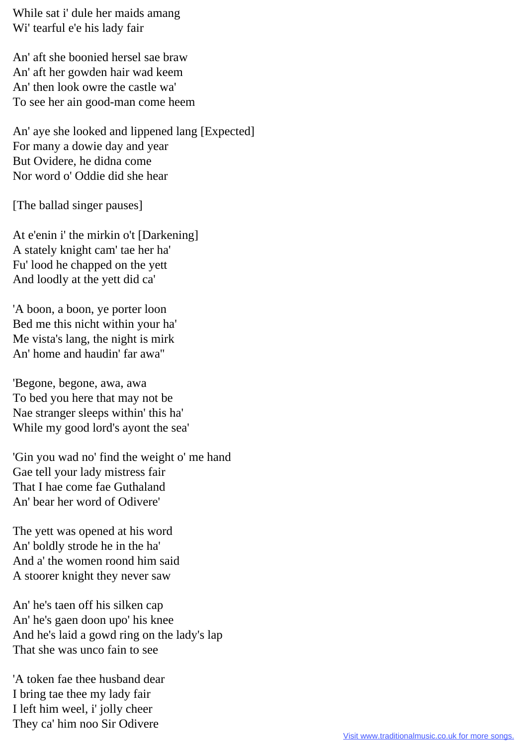While sat i' dule her maids amang Wi' tearful e'e his lady fair

 An' aft she boonied hersel sae braw An' aft her gowden hair wad keem An' then look owre the castle wa' To see her ain good-man come heem

 An' aye she looked and lippened lang [Expected] For many a dowie day and year But Ovidere, he didna come Nor word o' Oddie did she hear

[The ballad singer pauses]

 At e'enin i' the mirkin o't [Darkening] A stately knight cam' tae her ha' Fu' lood he chapped on the yett And loodly at the yett did ca'

 'A boon, a boon, ye porter loon Bed me this nicht within your ha' Me vista's lang, the night is mirk An' home and haudin' far awa''

 'Begone, begone, awa, awa To bed you here that may not be Nae stranger sleeps within' this ha' While my good lord's ayont the sea'

 'Gin you wad no' find the weight o' me hand Gae tell your lady mistress fair That I hae come fae Guthaland An' bear her word of Odivere'

 The yett was opened at his word An' boldly strode he in the ha' And a' the women roond him said A stoorer knight they never saw

 An' he's taen off his silken cap An' he's gaen doon upo' his knee And he's laid a gowd ring on the lady's lap That she was unco fain to see

 'A token fae thee husband dear I bring tae thee my lady fair I left him weel, i' jolly cheer They ca' him noo Sir Odivere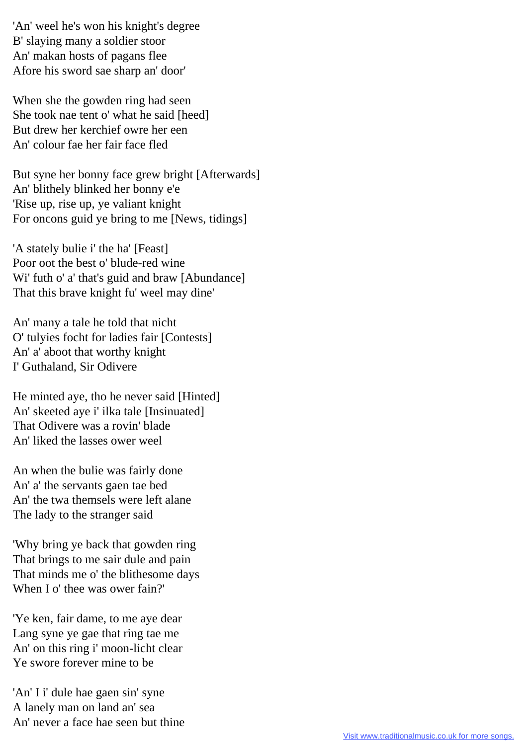'An' weel he's won his knight's degree B' slaying many a soldier stoor An' makan hosts of pagans flee Afore his sword sae sharp an' door'

 When she the gowden ring had seen She took nae tent o' what he said [heed] But drew her kerchief owre her een An' colour fae her fair face fled

 But syne her bonny face grew bright [Afterwards] An' blithely blinked her bonny e'e 'Rise up, rise up, ye valiant knight For oncons guid ye bring to me [News, tidings]

 'A stately bulie i' the ha' [Feast] Poor oot the best o' blude-red wine Wi' futh o' a' that's guid and braw [Abundance] That this brave knight fu' weel may dine'

 An' many a tale he told that nicht O' tulyies focht for ladies fair [Contests] An' a' aboot that worthy knight I' Guthaland, Sir Odivere

 He minted aye, tho he never said [Hinted] An' skeeted aye i' ilka tale [Insinuated] That Odivere was a rovin' blade An' liked the lasses ower weel

 An when the bulie was fairly done An' a' the servants gaen tae bed An' the twa themsels were left alane The lady to the stranger said

 'Why bring ye back that gowden ring That brings to me sair dule and pain That minds me o' the blithesome days When I o' thee was ower fain?'

 'Ye ken, fair dame, to me aye dear Lang syne ye gae that ring tae me An' on this ring i' moon-licht clear Ye swore forever mine to be

 'An' I i' dule hae gaen sin' syne A lanely man on land an' sea An' never a face hae seen but thine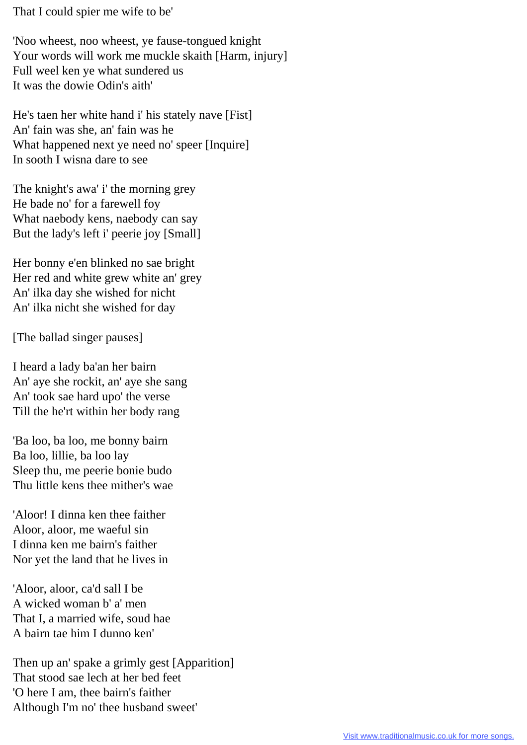That I could spier me wife to be'

 'Noo wheest, noo wheest, ye fause-tongued knight Your words will work me muckle skaith [Harm, injury] Full weel ken ye what sundered us It was the dowie Odin's aith'

 He's taen her white hand i' his stately nave [Fist] An' fain was she, an' fain was he What happened next ye need no' speer [Inquire] In sooth I wisna dare to see

 The knight's awa' i' the morning grey He bade no' for a farewell foy What naebody kens, naebody can say But the lady's left i' peerie joy [Small]

 Her bonny e'en blinked no sae bright Her red and white grew white an' grey An' ilka day she wished for nicht An' ilka nicht she wished for day

[The ballad singer pauses]

 I heard a lady ba'an her bairn An' aye she rockit, an' aye she sang An' took sae hard upo' the verse Till the he'rt within her body rang

 'Ba loo, ba loo, me bonny bairn Ba loo, lillie, ba loo lay Sleep thu, me peerie bonie budo Thu little kens thee mither's wae

 'Aloor! I dinna ken thee faither Aloor, aloor, me waeful sin I dinna ken me bairn's faither Nor yet the land that he lives in

 'Aloor, aloor, ca'd sall I be A wicked woman b' a' men That I, a married wife, soud hae A bairn tae him I dunno ken'

 Then up an' spake a grimly gest [Apparition] That stood sae lech at her bed feet 'O here I am, thee bairn's faither Although I'm no' thee husband sweet'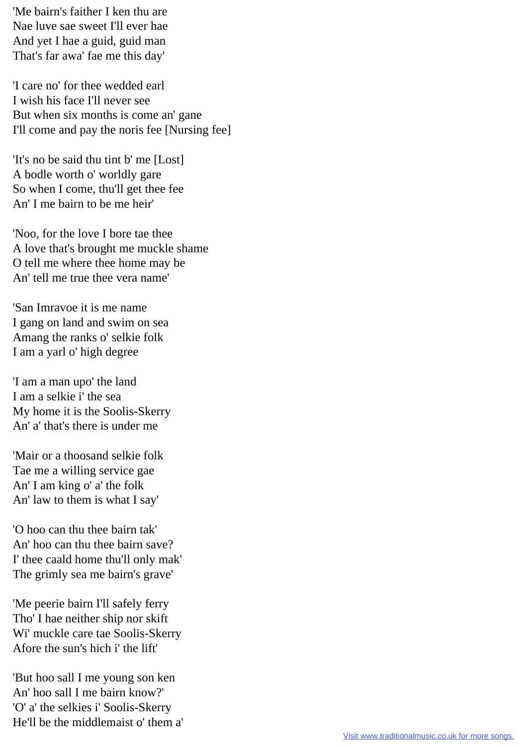'Me bairn's faither I ken thu are Nae luve sae sweet I'll ever hae And yet I hae a guid, guid man That's far awa' fae me this day'

 'I care no' for thee wedded earl I wish his face I'll never see But when six months is come an' gane I'll come and pay the noris fee [Nursing fee]

 'It's no be said thu tint b' me [Lost] A bodle worth o' worldly gare So when I come, thu'll get thee fee An' I me bairn to be me heir'

 'Noo, for the love I bore tae thee A love that's brought me muckle shame O tell me where thee home may be An' tell me true thee vera name'

 'San Imravoe it is me name I gang on land and swim on sea Amang the ranks o' selkie folk I am a yarl o' high degree

 'I am a man upo' the land I am a selkie i' the sea My home it is the Soolis-Skerry An' a' that's there is under me

 'Mair or a thoosand selkie folk Tae me a willing service gae An' I am king o' a' the folk An' law to them is what I say'

 'O hoo can thu thee bairn tak' An' hoo can thu thee bairn save? I' thee caald home thu'll only mak' The grimly sea me bairn's grave'

 'Me peerie bairn I'll safely ferry Tho' I hae neither ship nor skift Wi' muckle care tae Soolis-Skerry Afore the sun's hich i' the lift'

 'But hoo sall I me young son ken An' hoo sall I me bairn know?' 'O' a' the selkies i' Soolis-Skerry He'll be the middlemaist o' them a'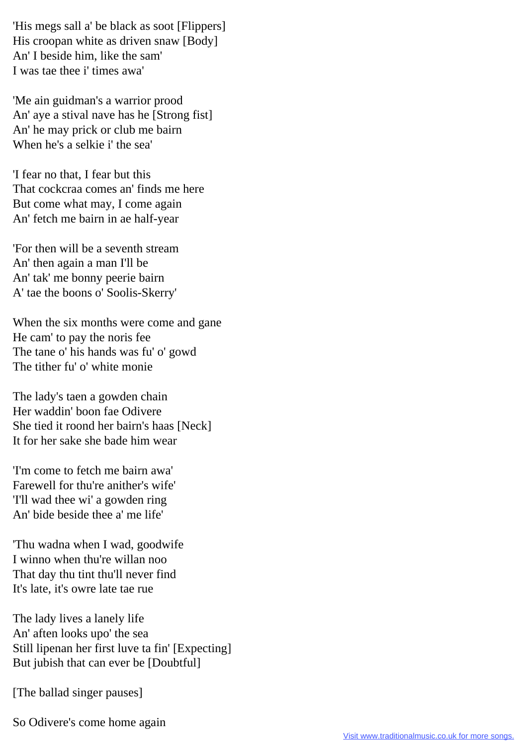'His megs sall a' be black as soot [Flippers] His croopan white as driven snaw [Body] An' I beside him, like the sam' I was tae thee i' times awa'

 'Me ain guidman's a warrior prood An' aye a stival nave has he [Strong fist] An' he may prick or club me bairn When he's a selkie i' the sea'

 'I fear no that, I fear but this That cockcraa comes an' finds me here But come what may, I come again An' fetch me bairn in ae half-year

 'For then will be a seventh stream An' then again a man I'll be An' tak' me bonny peerie bairn A' tae the boons o' Soolis-Skerry'

 When the six months were come and gane He cam' to pay the noris fee The tane o' his hands was fu' o' gowd The tither fu' o' white monie

 The lady's taen a gowden chain Her waddin' boon fae Odivere She tied it roond her bairn's haas [Neck] It for her sake she bade him wear

 'I'm come to fetch me bairn awa' Farewell for thu're anither's wife' 'I'll wad thee wi' a gowden ring An' bide beside thee a' me life'

 'Thu wadna when I wad, goodwife I winno when thu're willan noo That day thu tint thu'll never find It's late, it's owre late tae rue

 The lady lives a lanely life An' aften looks upo' the sea Still lipenan her first luve ta fin' [Expecting] But jubish that can ever be [Doubtful]

[The ballad singer pauses]

So Odivere's come home again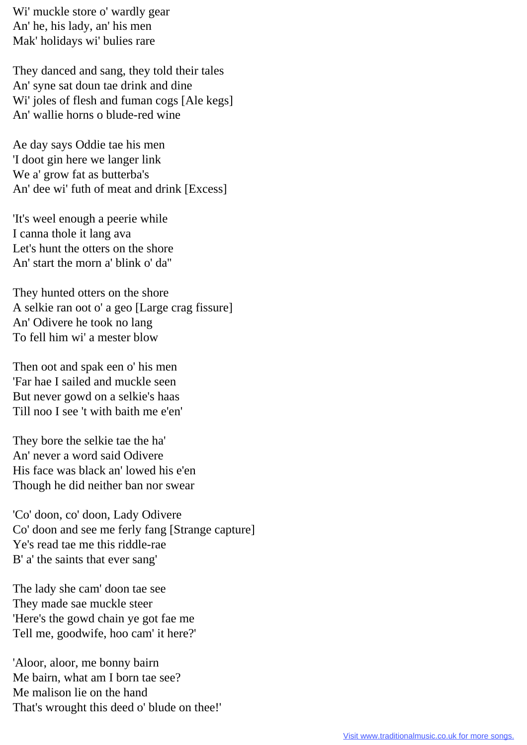Wi' muckle store o' wardly gear An' he, his lady, an' his men Mak' holidays wi' bulies rare

 They danced and sang, they told their tales An' syne sat doun tae drink and dine Wi' joles of flesh and fuman cogs [Ale kegs] An' wallie horns o blude-red wine

 Ae day says Oddie tae his men 'I doot gin here we langer link We a' grow fat as butterba's An' dee wi' futh of meat and drink [Excess]

 'It's weel enough a peerie while I canna thole it lang ava Let's hunt the otters on the shore An' start the morn a' blink o' da''

 They hunted otters on the shore A selkie ran oot o' a geo [Large crag fissure] An' Odivere he took no lang To fell him wi' a mester blow

 Then oot and spak een o' his men 'Far hae I sailed and muckle seen But never gowd on a selkie's haas Till noo I see 't with baith me e'en'

 They bore the selkie tae the ha' An' never a word said Odivere His face was black an' lowed his e'en Though he did neither ban nor swear

 'Co' doon, co' doon, Lady Odivere Co' doon and see me ferly fang [Strange capture] Ye's read tae me this riddle-rae B' a' the saints that ever sang'

 The lady she cam' doon tae see They made sae muckle steer 'Here's the gowd chain ye got fae me Tell me, goodwife, hoo cam' it here?'

 'Aloor, aloor, me bonny bairn Me bairn, what am I born tae see? Me malison lie on the hand That's wrought this deed o' blude on thee!'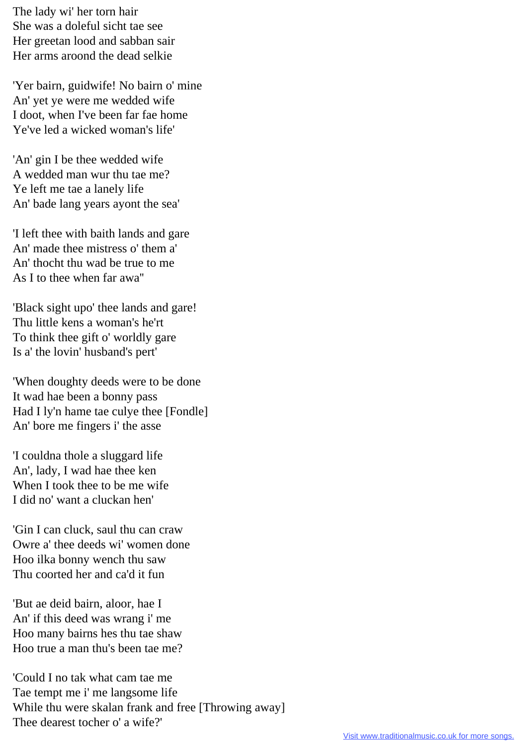The lady wi' her torn hair She was a doleful sicht tae see Her greetan lood and sabban sair Her arms aroond the dead selkie

 'Yer bairn, guidwife! No bairn o' mine An' yet ye were me wedded wife I doot, when I've been far fae home Ye've led a wicked woman's life'

 'An' gin I be thee wedded wife A wedded man wur thu tae me? Ye left me tae a lanely life An' bade lang years ayont the sea'

 'I left thee with baith lands and gare An' made thee mistress o' them a' An' thocht thu wad be true to me As I to thee when far awa''

 'Black sight upo' thee lands and gare! Thu little kens a woman's he'rt To think thee gift o' worldly gare Is a' the lovin' husband's pert'

 'When doughty deeds were to be done It wad hae been a bonny pass Had I ly'n hame tae culye thee [Fondle] An' bore me fingers i' the asse

 'I couldna thole a sluggard life An', lady, I wad hae thee ken When I took thee to be me wife I did no' want a cluckan hen'

 'Gin I can cluck, saul thu can craw Owre a' thee deeds wi' women done Hoo ilka bonny wench thu saw Thu coorted her and ca'd it fun

 'But ae deid bairn, aloor, hae I An' if this deed was wrang i' me Hoo many bairns hes thu tae shaw Hoo true a man thu's been tae me?

 'Could I no tak what cam tae me Tae tempt me i' me langsome life While thu were skalan frank and free [Throwing away] Thee dearest tocher o' a wife?'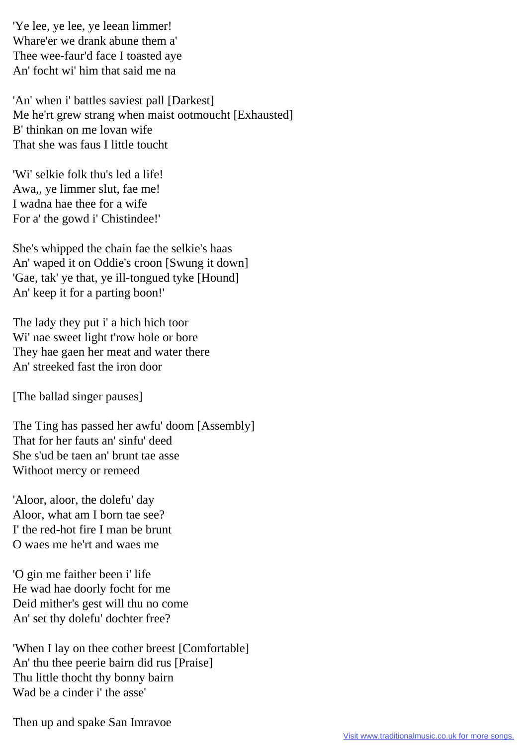'Ye lee, ye lee, ye leean limmer! Whare'er we drank abune them a' Thee wee-faur'd face I toasted aye An' focht wi' him that said me na

 'An' when i' battles saviest pall [Darkest] Me he'rt grew strang when maist ootmoucht [Exhausted] B' thinkan on me lovan wife That she was faus I little toucht

 'Wi' selkie folk thu's led a life! Awa,, ye limmer slut, fae me! I wadna hae thee for a wife For a' the gowd i' Chistindee!'

 She's whipped the chain fae the selkie's haas An' waped it on Oddie's croon [Swung it down] 'Gae, tak' ye that, ye ill-tongued tyke [Hound] An' keep it for a parting boon!'

 The lady they put i' a hich hich toor Wi' nae sweet light t'row hole or bore They hae gaen her meat and water there An' streeked fast the iron door

[The ballad singer pauses]

 The Ting has passed her awfu' doom [Assembly] That for her fauts an' sinfu' deed She s'ud be taen an' brunt tae asse Withoot mercy or remeed

 'Aloor, aloor, the dolefu' day Aloor, what am I born tae see? I' the red-hot fire I man be brunt O waes me he'rt and waes me

 'O gin me faither been i' life He wad hae doorly focht for me Deid mither's gest will thu no come An' set thy dolefu' dochter free?

 'When I lay on thee cother breest [Comfortable] An' thu thee peerie bairn did rus [Praise] Thu little thocht thy bonny bairn Wad be a cinder i' the asse'

Then up and spake San Imravoe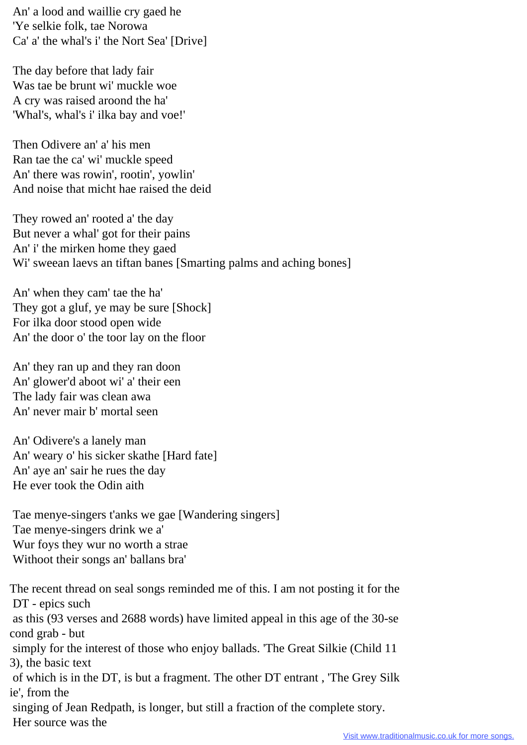An' a lood and waillie cry gaed he 'Ye selkie folk, tae Norowa Ca' a' the whal's i' the Nort Sea' [Drive]

 The day before that lady fair Was tae be brunt wi' muckle woe A cry was raised aroond the ha' 'Whal's, whal's i' ilka bay and voe!'

 Then Odivere an' a' his men Ran tae the ca' wi' muckle speed An' there was rowin', rootin', yowlin' And noise that micht hae raised the deid

 They rowed an' rooted a' the day But never a whal' got for their pains An' i' the mirken home they gaed Wi' sweean laevs an tiftan banes [Smarting palms and aching bones]

 An' when they cam' tae the ha' They got a gluf, ye may be sure [Shock] For ilka door stood open wide An' the door o' the toor lay on the floor

 An' they ran up and they ran doon An' glower'd aboot wi' a' their een The lady fair was clean awa An' never mair b' mortal seen

 An' Odivere's a lanely man An' weary o' his sicker skathe [Hard fate] An' aye an' sair he rues the day He ever took the Odin aith

 Tae menye-singers t'anks we gae [Wandering singers] Tae menye-singers drink we a' Wur foys they wur no worth a strae Withoot their songs an' ballans bra'

The recent thread on seal songs reminded me of this. I am not posting it for the DT - epics such as this (93 verses and 2688 words) have limited appeal in this age of the 30-se cond grab - but simply for the interest of those who enjoy ballads. 'The Great Silkie (Child 11 3), the basic text of which is in the DT, is but a fragment. The other DT entrant , 'The Grey Silk ie', from the singing of Jean Redpath, is longer, but still a fraction of the complete story. Her source was the